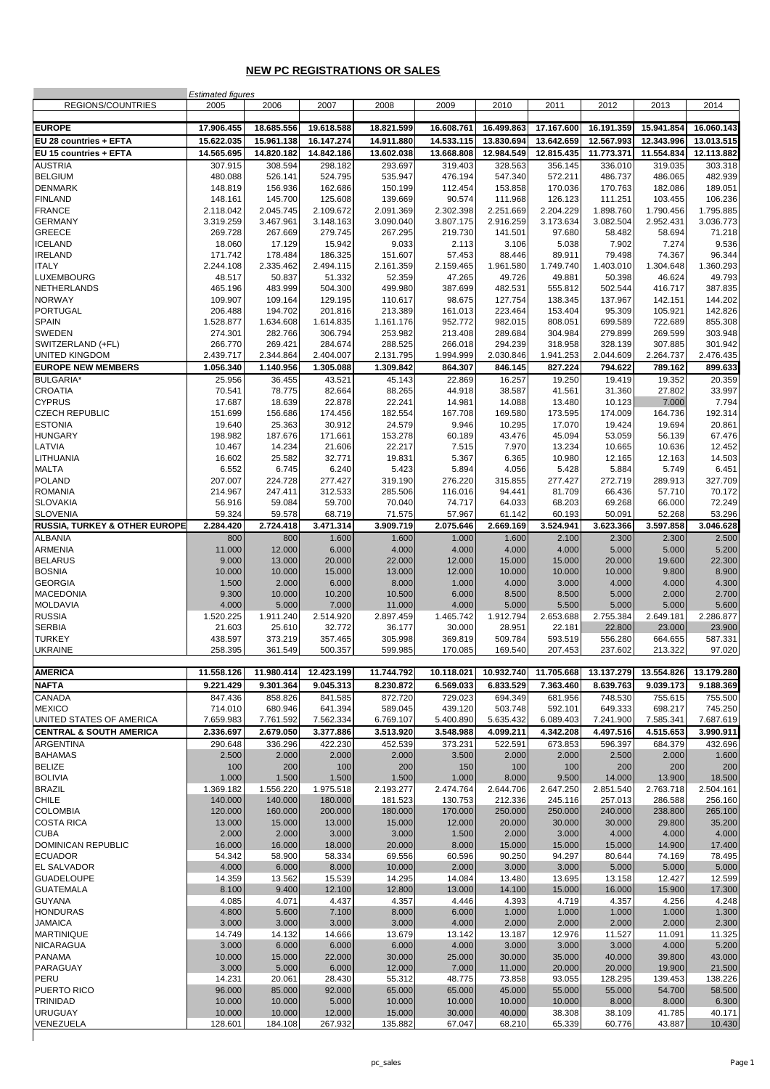### **NEW PC REGISTRATIONS OR SALES**

|                                          | <b>Estimated figures</b> |                      |                      |                      |                    |                    |                    |                    |                    |                    |
|------------------------------------------|--------------------------|----------------------|----------------------|----------------------|--------------------|--------------------|--------------------|--------------------|--------------------|--------------------|
| REGIONS/COUNTRIES                        | 2005                     | 2006                 | 2007                 | 2008                 | 2009               | 2010               | 2011               | 2012               | 2013               | 2014               |
|                                          |                          |                      |                      |                      |                    |                    |                    |                    |                    |                    |
| <b>EUROPE</b>                            | 17.906.455               | 18.685.556           | 19.618.588           | 18.821.599           | 16.608.761         | 16.499.863         | 17.167.600         | 16.191.359         | 15.941.854         | 16.060.143         |
| EU 28 countries + EFTA                   | 15.622.035               | 15.961.138           | 16.147.274           | 14.911.880           | 14.533.115         | 13.830.694         | 13.642.659         | 12.567.993         | 12.343.996         | 13.013.515         |
| EU 15 countries + EFTA                   | 14.565.695               | 14.820.182           | 14.842.186           | 13.602.038           | 13.668.808         | 12.984.549         | 12.815.435         | 11.773.371         | 11.554.834         | 12.113.882         |
| <b>AUSTRIA</b>                           | 307.915                  | 308.594              | 298.182              | 293.697              | 319.403            | 328.563            | 356.145            | 336.010            | 319.035            | 303.318            |
| <b>BELGIUM</b>                           | 480.088                  | 526.141              | 524.795              | 535.947              | 476.194            | 547.340            | 572.211            | 486.737            | 486.065            | 482.939            |
| <b>DENMARK</b>                           | 148.819                  | 156.936              | 162.686              | 150.199              | 112.454            | 153.858            | 170.036            | 170.763            | 182.086            | 189.051            |
| <b>FINLAND</b>                           | 148.161                  | 145.700              | 125.608              | 139.669              | 90.574             | 111.968            | 126.123            | 111.251            | 103.455            | 106.236            |
| <b>FRANCE</b>                            | 2.118.042                | 2.045.745            | 2.109.672            | 2.091.369            | 2.302.398          | 2.251.669          | 2.204.229          | 1.898.760          | 1.790.456          | 1.795.885          |
| <b>GERMANY</b>                           | 3.319.259                | 3.467.961            | 3.148.163            | 3.090.040            | 3.807.175          | 2.916.259          | 3.173.634          | 3.082.504          | 2.952.431          | 3.036.773          |
| <b>GREECE</b>                            | 269.728                  | 267.669              | 279.745              | 267.295              | 219.730            | 141.501            | 97.680             | 58.482             | 58.694             | 71.218             |
| <b>ICELAND</b>                           | 18.060                   | 17.129               | 15.942               | 9.033                | 2.113              | 3.106              | 5.038              | 7.902              | 7.274              | 9.536              |
| <b>IRELAND</b>                           | 171.742                  | 178.484              | 186.325              | 151.607              | 57.453             | 88.446             | 89.911             | 79.498             | 74.367             | 96.344             |
| <b>ITALY</b>                             | 2.244.108                | 2.335.462            | 2.494.115            | 2.161.359            | 2.159.465          | 1.961.580          | 1.749.740          | 1.403.010          | 1.304.648          | 1.360.293          |
| <b>LUXEMBOURG</b>                        | 48.517                   | 50.837               | 51.332               | 52.359               | 47.265             | 49.726             | 49.881             | 50.398             | 46.624             | 49.793             |
| NETHERLANDS                              | 465.196                  | 483.999              | 504.300              | 499.980              | 387.699            | 482.531            | 555.812            | 502.544            | 416.717            | 387.835            |
| <b>NORWAY</b>                            | 109.907                  | 109.164              | 129.195              | 110.617              | 98.675             | 127.754            | 138.345            | 137.967            | 142.151            | 144.202            |
| <b>PORTUGAL</b><br><b>SPAIN</b>          | 206.488                  | 194.702              | 201.816              | 213.389              | 161.013            | 223.464            | 153.404<br>808.051 | 95.309<br>699.589  | 105.921            | 142.826            |
| <b>SWEDEN</b>                            | 1.528.877<br>274.301     | 1.634.608<br>282.766 | 1.614.835<br>306.794 | 1.161.176<br>253.982 | 952.772<br>213.408 | 982.015<br>289.684 | 304.984            | 279.899            | 722.689<br>269.599 | 855.308<br>303.948 |
| SWITZERLAND (+FL)                        | 266.770                  | 269.421              | 284.674              | 288.525              | 266.018            | 294.239            | 318.958            | 328.139            | 307.885            | 301.942            |
| <b>UNITED KINGDOM</b>                    | 2.439.717                | 2.344.864            | 2.404.007            | 2.131.795            | 1.994.999          | 2.030.846          | 1.941.253          | 2.044.609          | 2.264.737          | 2.476.435          |
| <b>EUROPE NEW MEMBERS</b>                | 1.056.340                | 1.140.956            | 1.305.088            | 1.309.842            | 864.307            | 846.145            | 827.224            | 794.622            | 789.162            | 899.633            |
| <b>BULGARIA*</b>                         | 25.956                   | 36.455               | 43.521               | 45.143               | 22.869             | 16.257             | 19.250             | 19.419             | 19.352             | 20.359             |
| <b>CROATIA</b>                           | 70.541                   | 78.775               | 82.664               | 88.265               | 44.918             | 38.587             | 41.561             | 31.360             | 27.802             | 33.997             |
| <b>CYPRUS</b>                            | 17.687                   | 18.639               | 22.878               | 22.241               | 14.981             | 14.088             | 13.480             | 10.123             | 7.000              | 7.794              |
| <b>CZECH REPUBLIC</b>                    | 151.699                  | 156.686              | 174.456              | 182.554              | 167.708            | 169.580            | 173.595            | 174.009            | 164.736            | 192.314            |
| <b>ESTONIA</b>                           | 19.640                   | 25.363               | 30.912               | 24.579               | 9.946              | 10.295             | 17.070             | 19.424             | 19.694             | 20.861             |
| <b>HUNGARY</b>                           | 198.982                  | 187.676              | 171.661              | 153.278              | 60.189             | 43.476             | 45.094             | 53.059             | 56.139             | 67.476             |
| LATVIA                                   | 10.467                   | 14.234               | 21.606               | 22.217               | 7.515              | 7.970              | 13.234             | 10.665             | 10.636             | 12.452             |
| LITHUANIA                                | 16.602                   | 25.582               | 32.771               | 19.831               | 5.367              | 6.365              | 10.980             | 12.165             | 12.163             | 14.503             |
| <b>MALTA</b>                             | 6.552                    | 6.745                | 6.240                | 5.423                | 5.894              | 4.056              | 5.428              | 5.884              | 5.749              | 6.451              |
| <b>POLAND</b>                            | 207.007                  | 224.728              | 277.427              | 319.190              | 276.220            | 315.855            | 277.427            | 272.719            | 289.913            | 327.709            |
| <b>ROMANIA</b>                           | 214.967                  | 247.411              | 312.533              | 285.506              | 116.016            | 94.441             | 81.709             | 66.436             | 57.710             | 70.172             |
| <b>SLOVAKIA</b>                          | 56.916                   | 59.084               | 59.700               | 70.040               | 74.717             | 64.033             | 68.203             | 69.268             | 66.000             | 72.249             |
| <b>SLOVENIA</b>                          | 59.324                   | 59.578               | 68.719               | 71.575               | 57.967             | 61.142             | 60.193             | 50.091             | 52.268             | 53.296             |
| <b>RUSSIA, TURKEY &amp; OTHER EUROPE</b> | 2.284.420                | 2.724.418            | 3.471.314            | 3.909.719            | 2.075.646          | 2.669.169          | 3.524.941          | 3.623.366          | 3.597.858          | 3.046.628          |
| <b>ALBANIA</b>                           | 800                      | 800                  | 1.600                | 1.600                | 1.000              | 1.600              | 2.100              | 2.300              | 2.300              | 2.500              |
| <b>ARMENIA</b>                           | 11.000                   | 12.000               | 6.000                | 4.000                | 4.000              | 4.000              | 4.000              | 5.000              | 5.000              | 5.200              |
| <b>BELARUS</b>                           | 9.000                    | 13.000               | 20.000               | 22.000               | 12.000             | 15.000             | 15.000             | 20.000             | 19.600             | 22.300             |
| <b>BOSNIA</b>                            | 10.000                   | 10.000               | 15.000               | 13.000               | 12.000             | 10.000             | 10.000             | 10.000             | 9.800              | 8.900              |
| <b>GEORGIA</b>                           | 1.500                    | 2.000                | 6.000                | 8.000                | 1.000              | 4.000              | 3.000              | 4.000              | 4.000              | 4.300              |
| <b>MACEDONIA</b>                         | 9.300                    | 10.000               | 10.200               | 10.500               | 6.000              | 8.500              | 8.500              | 5.000              | 2.000              | 2.700              |
| <b>MOLDAVIA</b>                          | 4.000                    | 5.000                | 7.000                | 11.000               | 4.000              | 5.000              | 5.500              | 5.000              | 5.000              | 5.600              |
| <b>RUSSIA</b>                            | 1.520.225                | 1.911.240            | 2.514.920            | 2.897.459            | 1.465.742          | 1.912.794          | 2.653.688          | 2.755.384          | 2.649.181          | 2.286.877          |
| <b>SERBIA</b>                            | 21.603<br>438.597        | 25.610               | 32.772               | 36.177               | 30.000             | 28.951             | 22.181             | 22.800             | 23.000             | 23.900             |
| <b>TURKEY</b><br><b>UKRAINE</b>          | 258.395                  | 373.219<br>361.549   | 357.465<br>500.357   | 305.998<br>599.985   | 369.819<br>170.085 | 509.784<br>169.540 | 593.519<br>207.453 | 556.280<br>237.602 | 664.655<br>213.322 | 587.331<br>97.020  |
|                                          |                          |                      |                      |                      |                    |                    |                    |                    |                    |                    |
| <b>AMERICA</b>                           | 11.558.126               | 11.980.414           | 12.423.199           | 11.744.792           | 10.118.021         | 10.932.740         | 11.705.668         | 13.137.279         | 13.554.826         | 13.179.280         |
| <b>NAFTA</b>                             | 9.221.429                | 9.301.364            | 9.045.313            | 8.230.872            | 6.569.033          | 6.833.529          | 7.363.460          | 8.639.763          | 9.039.173          | 9.188.369          |
| <b>CANADA</b>                            | 847.436                  | 858.826              | 841.585              | 872.720              | 729.023            | 694.349            | 681.956            | 748.530            | 755.615            | 755.500            |
| <b>MEXICO</b>                            | 714.010                  | 680.946              | 641.394              | 589.045              | 439.120            | 503.748            | 592.101            | 649.333            | 698.217            | 745.250            |
| UNITED STATES OF AMERICA                 | 7.659.983                | 7.761.592            | 7.562.334            | 6.769.107            | 5.400.890          | 5.635.432          | 6.089.403          | 7.241.900          | 7.585.341          | 7.687.619          |
| <b>CENTRAL &amp; SOUTH AMERICA</b>       | 2.336.697                | 2.679.050            | 3.377.886            | 3.513.920            | 3.548.988          | 4.099.211          | 4.342.208          | 4.497.516          | 4.515.653          | 3.990.911          |
| <b>ARGENTINA</b>                         | 290.648                  | 336.296              | 422.230              | 452.539              | 373.231            | 522.591            | 673.853            | 596.397            | 684.379            | 432.696            |
| <b>BAHAMAS</b>                           | 2.500                    | 2.000                | 2.000                | 2.000                | 3.500              | 2.000              | 2.000              | 2.500              | 2.000              | 1.600              |
| <b>BELIZE</b>                            | 100                      | 200                  | 100                  | 200                  | 150                | 100                | 100                | 200                | 200                | 200                |
| <b>BOLIVIA</b>                           | 1.000                    | 1.500                | 1.500                | 1.500                | 1.000              | 8.000              | 9.500              | 14.000             | 13.900             | 18.500             |
| <b>BRAZIL</b>                            | 1.369.182                | 1.556.220            | 1.975.518            | 2.193.277            | 2.474.764          | 2.644.706          | 2.647.250          | 2.851.540          | 2.763.718          | 2.504.161          |
| <b>CHILE</b>                             | 140.000                  | 140.000              | 180.000              | 181.523              | 130.753            | 212.336            | 245.116            | 257.013            | 286.588            | 256.160            |
| <b>COLOMBIA</b>                          | 120.000                  | 160.000              | 200.000              | 180.000              | 170.000            | 250.000            | 250.000            | 240.000            | 238.800            | 265.100            |
| <b>COSTA RICA</b>                        | 13.000                   | 15.000               | 13.000               | 15.000               | 12.000             | 20.000             | 30.000             | 30.000             | 29.800             | 35.200             |
| <b>CUBA</b>                              | 2.000                    | 2.000                | 3.000                | 3.000                | 1.500              | 2.000              | 3.000              | 4.000              | 4.000              | 4.000              |
| <b>DOMINICAN REPUBLIC</b>                | 16.000                   | 16.000               | 18.000               | 20.000               | 8.000              | 15.000             | 15.000             | 15.000             | 14.900             | 17.400             |
| <b>ECUADOR</b>                           | 54.342                   | 58.900               | 58.334               | 69.556               | 60.596             | 90.250             | 94.297             | 80.644             | 74.169             | 78.495             |
| <b>EL SALVADOR</b>                       | 4.000                    | 6.000                | 8.000                | 10.000               | 2.000              | 3.000              | 3.000              | 5.000              | 5.000              | 5.000              |
| <b>GUADELOUPE</b>                        | 14.359                   | 13.562               | 15.539               | 14.295               | 14.084             | 13.480             | 13.695             | 13.158             | 12.427             | 12.599             |
| <b>GUATEMALA</b>                         | 8.100                    | 9.400                | 12.100               | 12.800               | 13.000             | 14.100             | 15.000             | 16.000             | 15.900             | 17.300             |
| <b>GUYANA</b>                            | 4.085                    | 4.071                | 4.437                | 4.357                | 4.446              | 4.393              | 4.719              | 4.357              | 4.256              | 4.248              |
| <b>HONDURAS</b>                          | 4.800                    | 5.600                | 7.100                | 8.000                | 6.000              | 1.000              | 1.000              | 1.000              | 1.000              | 1.300              |
| <b>JAMAICA</b>                           | 3.000                    | 3.000                | 3.000                | 3.000                | 4.000              | 2.000              | 2.000              | 2.000              | 2.000              | 2.300              |
| <b>MARTINIQUE</b>                        | 14.749                   | 14.132               | 14.666               | 13.679               | 13.142             | 13.187             | 12.976             | 11.527             | 11.091             | 11.325             |
| <b>NICARAGUA</b><br><b>PANAMA</b>        | 3.000<br>10.000          | 6.000<br>15.000      | 6.000<br>22.000      | 6.000<br>30.000      | 4.000<br>25.000    | 3.000<br>30.000    | 3.000<br>35.000    | 3.000<br>40.000    | 4.000<br>39.800    | 5.200<br>43.000    |
| PARAGUAY                                 | 3.000                    | 5.000                | 6.000                | 12.000               | 7.000              | 11.000             | 20.000             | 20.000             | 19.900             | 21.500             |
| PERU                                     | 14.231                   | 20.061               | 28.430               | 55.312               | 48.775             | 73.858             | 93.055             | 128.295            | 139.453            | 138.226            |
| PUERTO RICO                              | 96.000                   | 85.000               | 92.000               | 65.000               | 65.000             | 45.000             | 55.000             | 55.000             | 54.700             | 58.500             |
| <b>TRINIDAD</b>                          | 10.000                   | 10.000               | 5.000                | 10.000               | 10.000             | 10.000             | 10.000             | 8.000              | 8.000              | 6.300              |
| <b>URUGUAY</b>                           | 10.000                   | 10.000               | 12.000               | 15.000               | 30.000             | 40.000             | 38.308             | 38.109             | 41.785             | 40.171             |
|                                          |                          |                      |                      |                      |                    |                    |                    |                    |                    |                    |
| VENEZUELA                                | 128.601                  | 184.108              | 267.932              | 135.882              | 67.047             | 68.210             | 65.339             | 60.776             | 43.887             | 10.430             |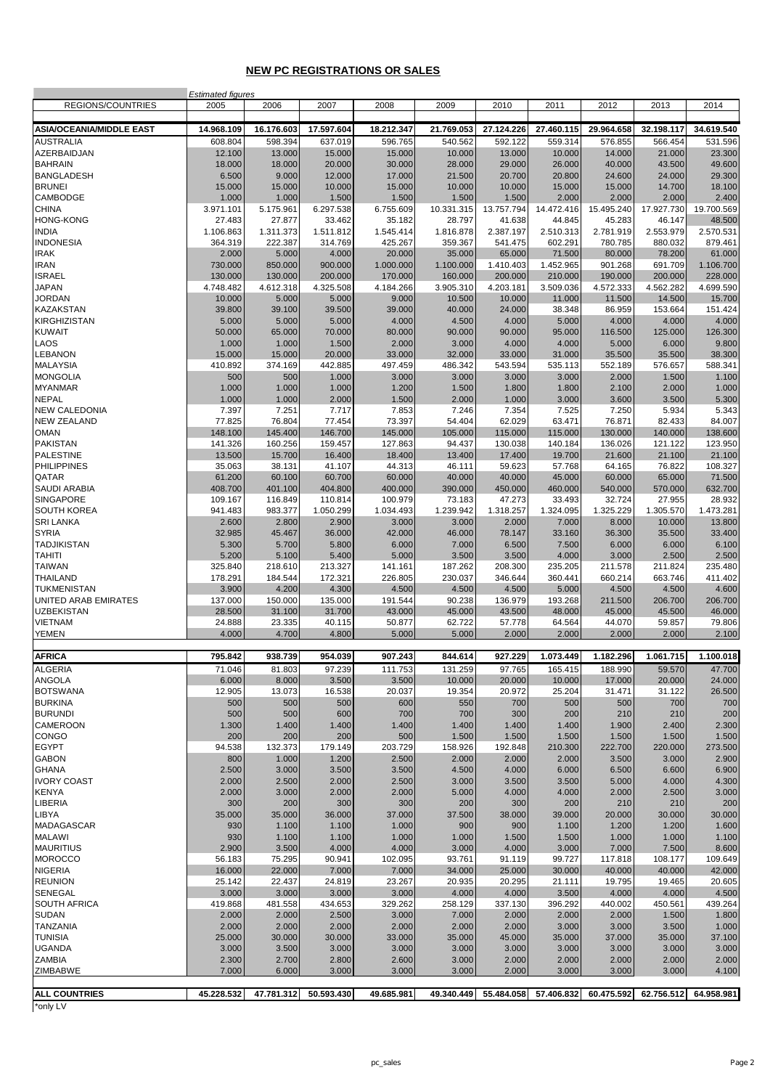#### **NEW PC REGISTRATIONS OR SALES**

| <b>ALL COUNTRIES</b><br>*only I V     | 45.228.532                       | 47.781.312          | 50.593.430          | 49.685.981           | 49.340.449           | 55.484.058           | 57.406.832           | 60.475.592           | 62.756.512           | 64.958.981           |
|---------------------------------------|----------------------------------|---------------------|---------------------|----------------------|----------------------|----------------------|----------------------|----------------------|----------------------|----------------------|
| ZIMBABWE                              | 7.000                            | 6.000               | 3.000               | 3.000                | 3.000                | 2.000                | 3.000                | 3.000                | 3.000                | 4.100                |
| ZAMBIA                                | 2.300                            | 2.700               | 2.800               | 2.600                | 3.000                | 2.000                | 2.000                | 2.000                | 2.000                | 2.000                |
| <b>UGANDA</b>                         | 3.000                            | 3.500               | 3.000               | 3.000                | 3.000                | 3.000                | 3.000                | 3.000                | 3.000                | 3.000                |
| <b>TUNISIA</b>                        | 25.000                           | 30.000              | 30.000              | 33.000               | 35.000               | 45.000               | 35.000               | 37.000               | 35.000               | 37.100               |
| <b>TANZANIA</b>                       | 2.000                            | 2.000               | 2.000               | 2.000                | 2.000                | 2.000                | 3.000                | 3.000                | 3.500                | 1.000                |
| <b>SUDAN</b>                          | 2.000                            | 2.000               | 2.500               | 3.000                | 7.000                | 2.000                | 2.000                | 2.000                | 1.500                | 1.800                |
| <b>SENEGAL</b><br><b>SOUTH AFRICA</b> | 3.000<br>419.868                 | 3.000<br>481.558    | 3.000<br>434.653    | 3.000<br>329.262     | 4.000<br>258.129     | 4.000<br>337.130     | 3.500<br>396.292     | 4.000<br>440.002     | 4.000<br>450.561     | 4.500<br>439.264     |
| <b>REUNION</b>                        | 25.142                           | 22.437              | 24.819              | 23.267               | 20.935               | 20.295               | 21.111               | 19.795               | 19.465               | 20.605               |
| <b>NIGERIA</b>                        | 16.000                           | 22.000              | 7.000               | 7.000                | 34.000               | 25.000               | 30.000               | 40.000               | 40.000               | 42.000               |
| <b>MOROCCO</b>                        | 56.183                           | 75.295              | 90.941              | 102.095              | 93.761               | 91.119               | 99.727               | 117.818              | 108.177              | 109.649              |
| <b>MAURITIUS</b>                      | 2.900                            | 3.500               | 4.000               | 4.000                | 3.000                | 4.000                | 3.000                | 7.000                | 7.500                | 8.600                |
| MADAGASCAR<br><b>MALAWI</b>           | 930<br>930                       | 1.100<br>1.100      | 1.100<br>1.100      | 1.000<br>1.000       | 900<br>1.000         | 900<br>1.500         | 1.100<br>1.500       | 1.200<br>1.000       | 1.200<br>1.000       | 1.600<br>1.100       |
| LIBYA                                 | 35.000                           | 35.000              | 36.000              | 37.000               | 37.500               | 38.000               | 39.000               | 20.000               | 30.000               | 30.000               |
| <b>LIBERIA</b>                        | 300                              | 200                 | 300                 | 300                  | 200                  | 300                  | 200                  | 210                  | 210                  | 200                  |
| <b>KENYA</b>                          | 2.000                            | 3.000               | 2.000               | 2.000                | 5.000                | 4.000                | 4.000                | 2.000                | 2.500                | 3.000                |
| <b>IVORY COAST</b>                    | 2.000                            | 2.500               | 2.000               | 2.500                | 3.000                | 3.500                | 3.500                | 5.000                | 4.000                | 4.300                |
| <b>GABON</b><br><b>GHANA</b>          | 800<br>2.500                     | 1.000<br>3.000      | 1.200<br>3.500      | 2.500<br>3.500       | 2.000<br>4.500       | 2.000<br>4.000       | 2.000<br>6.000       | 3.500<br>6.500       | 3.000<br>6.600       | 2.900<br>6.900       |
| <b>EGYPT</b>                          | 94.538                           | 132.373             | 179.149             | 203.729              | 158.926              | 192.848              | 210.300              | 222.700              | 220.000              | 273.500              |
| CONGO                                 | 200                              | 200                 | 200                 | 500                  | 1.500                | 1.500                | 1.500                | 1.500                | 1.500                | 1.500                |
| CAMEROON                              | 1.300                            | 1.400               | 1.400               | 1.400                | 1.400                | 1.400                | 1.400                | 1.900                | 2.400                | 2.300                |
| <b>BURUNDI</b>                        | 500                              | 500                 | 600                 | 700                  | 700                  | 300                  | 200                  | 210                  | 210                  | 200                  |
| <b>BURKINA</b>                        | 500                              | 500                 | 500                 | 600                  | 550                  | 700                  | 500                  | 500                  | 700                  | 700                  |
| ANGOLA<br><b>BOTSWANA</b>             | 6.000<br>12.905                  | 8.000<br>13.073     | 3.500<br>16.538     | 3.500<br>20.037      | 10.000<br>19.354     | 20.000<br>20.972     | 10.000<br>25.204     | 17.000<br>31.471     | 20.000<br>31.122     | 24.000<br>26.500     |
| <b>ALGERIA</b>                        | 71.046                           | 81.803              | 97.239              | 111.753              | 131.259              | 97.765               | 165.415              | 188.990              | 59.570               | 47.700               |
| <b>AFRICA</b>                         | 795.842                          | 938.739             | 954.039             | 907.243              | 844.614              | 927.229              | 1.073.449            | 1.182.296            | 1.061.715            | 1.100.018            |
|                                       |                                  |                     |                     |                      |                      |                      |                      |                      |                      |                      |
| <b>YEMEN</b>                          | 4.000                            | 4.700               | 4.800               | 5.000                | 5.000                | 2.000                | 2.000                | 2.000                | 2.000                | 2.100                |
| <b>UZBEKISTAN</b><br><b>VIETNAM</b>   | 28.500<br>24.888                 | 31.100<br>23.335    | 31.700<br>40.115    | 43.000<br>50.877     | 45.000<br>62.722     | 43.500<br>57.778     | 48.000<br>64.564     | 45.000<br>44.070     | 45.500<br>59.857     | 46.000<br>79.806     |
| UNITED ARAB EMIRATES                  | 137.000                          | 150.000             | 135.000             | 191.544              | 90.238               | 136.979              | 193.268              | 211.500              | 206.700              | 206.700              |
| <b>TUKMENISTAN</b>                    | 3.900                            | 4.200               | 4.300               | 4.500                | 4.500                | 4.500                | 5.000                | 4.500                | 4.500                | 4.600                |
| <b>THAILAND</b>                       | 178.291                          | 184.544             | 172.321             | 226.805              | 230.037              | 346.644              | 360.441              | 660.214              | 663.746              | 411.402              |
| <b>TAIWAN</b>                         | 325.840                          | 218.610             | 213.327             | 141.161              | 187.262              | 208.300              | 235.205              | 211.578              | 211.824              | 235.480              |
| <b>TAHITI</b>                         | 5.200                            | 5.100               | 5.400               | 5.000                | 3.500                | 3.500                | 4.000                | 3.000                | 2.500                | 2.500                |
| <b>SYRIA</b><br><b>TADJIKISTAN</b>    | 32.985<br>5.300                  | 45.467<br>5.700     | 36.000<br>5.800     | 42.000<br>6.000      | 46.000<br>7.000      | 78.147<br>6.500      | 33.160<br>7.500      | 36.300<br>6.000      | 35.500<br>6.000      | 33.400<br>6.100      |
| <b>SRI LANKA</b>                      | 2.600                            | 2.800               | 2.900               | 3.000                | 3.000                | 2.000                | 7.000                | 8.000                | 10.000               | 13.800               |
| <b>SOUTH KOREA</b>                    | 941.483                          | 983.377             | 1.050.299           | 1.034.493            | 1.239.942            | 1.318.257            | 1.324.095            | 1.325.229            | 1.305.570            | 1.473.281            |
| <b>SINGAPORE</b>                      | 109.167                          | 116.849             | 110.814             | 100.979              | 73.183               | 47.273               | 33.493               | 32.724               | 27.955               | 28.932               |
| <b>SAUDI ARABIA</b>                   | 408.700                          | 401.100             | 404.800             | 400.000              | 390.000              | 450.000              | 460.000              | 540.000              | 570.000              | 632.700              |
| <b>PHILIPPINES</b><br>QATAR           | 35.063<br>61.200                 | 38.131<br>60.100    | 41.107<br>60.700    | 44.313<br>60.000     | 46.111<br>40.000     | 59.623<br>40.000     | 57.768<br>45.000     | 64.165<br>60.000     | 76.822<br>65.000     | 108.327<br>71.500    |
| <b>PALESTINE</b>                      | 13.500                           | 15.700              | 16.400              | 18.400               | 13.400               | 17.400               | 19.700               | 21.600               | 21.100               | 21.100               |
| <b>PAKISTAN</b>                       | 141.326                          | 160.256             | 159.457             | 127.863              | 94.437               | 130.038              | 140.184              | 136.026              | 121.122              | 123.950              |
| <b>OMAN</b>                           | 148.100                          | 145.400             | 146.700             | 145.000              | 105.000              | 115.000              | 115.000              | 130.000              | 140.000              | 138.600              |
| <b>NEW ZEALAND</b>                    | 77.825                           | 76.804              | 77.454              | 73.397               | 54.404               | 62.029               | 63.471               | 76.871               | 82.433               | 84.007               |
| <b>NEPAL</b><br><b>NEW CALEDONIA</b>  | 1.000<br>7.397                   | 1.000<br>7.251      | 2.000<br>7.717      | 1.500<br>7.853       | 2.000<br>7.246       | 1.000<br>7.354       | 3.000<br>7.525       | 3.600<br>7.250       | 3.500<br>5.934       | 5.300<br>5.343       |
| <b>MYANMAR</b>                        | 1.000                            | 1.000               | 1.000               | 1.200                | 1.500                | 1.800                | 1.800                | 2.100                | 2.000                | 1.000                |
| <b>MONGOLIA</b>                       | 500                              | 500                 | 1.000               | 3.000                | 3.000                | 3.000                | 3.000                | 2.000                | 1.500                | 1.100                |
| <b>MALAYSIA</b>                       | 410.892                          | 374.169             | 442.885             | 497.459              | 486.342              | 543.594              | 535.113              | 552.189              | 576.657              | 588.341              |
| <b>LEBANON</b>                        | 15.000                           | 15.000              | 20.000              | 33.000               | 32.000               | 33.000               | 31.000               | 35.500               | 35.500               | 38.300               |
| <b>KUWAIT</b><br>LAOS                 | 50.000<br>1.000                  | 65.000<br>1.000     | 70.000<br>1.500     | 80.000<br>2.000      | 90.000<br>3.000      | 90.000<br>4.000      | 95.000<br>4.000      | 116.500<br>5.000     | 125.000<br>6.000     | 126.300<br>9.800     |
| <b>KIRGHIZISTAN</b>                   | 5.000                            | 5.000               | 5.000               | 4.000                | 4.500                | 4.000                | 5.000                | 4.000                | 4.000                | 4.000                |
| <b>KAZAKSTAN</b>                      | 39.800                           | 39.100              | 39.500              | 39.000               | 40.000               | 24.000               | 38.348               | 86.959               | 153.664              | 151.424              |
| <b>JORDAN</b>                         | 10.000                           | 5.000               | 5.000               | 9.000                | 10.500               | 10.000               | 11.000               | 11.500               | 14.500               | 15.700               |
| <b>JAPAN</b>                          | 4.748.482                        | 4.612.318           | 4.325.508           | 4.184.266            | 3.905.310            | 4.203.181            | 3.509.036            | 4.572.333            | 4.562.282            | 4.699.590            |
| <b>IRAN</b><br><b>ISRAEL</b>          | 730.000<br>130.000               | 850.000<br>130.000  | 900.000<br>200.000  | 1.000.000<br>170.000 | 1.100.000<br>160,000 | 1.410.403<br>200.000 | 1.452.965<br>210.000 | 901.268<br>190.000   | 691.709<br>200.000   | 1.106.700<br>228.000 |
| <b>IRAK</b>                           | 2.000                            | 5.000               | 4.000               | 20.000               | 35.000               | 65.000               | 71.500               | 80.000               | 78.200               | 61.000               |
| <b>INDONESIA</b>                      | 364.319                          | 222.387             | 314.769             | 425.267              | 359.367              | 541.475              | 602.291              | 780.785              | 880.032              | 879.461              |
| <b>INDIA</b>                          | 1.106.863                        | 1.311.373           | 1.511.812           | 1.545.414            | 1.816.878            | 2.387.197            | 2.510.313            | 2.781.919            | 2.553.979            | 2.570.531            |
| <b>CHINA</b><br><b>HONG-KONG</b>      | 3.971.101<br>27.483              | 5.175.961<br>27.877 | 6.297.538<br>33.462 | 6.755.609<br>35.182  | 10.331.315<br>28.797 | 13.757.794<br>41.638 | 14.472.416<br>44.845 | 15.495.240<br>45.283 | 17.927.730<br>46.147 | 19.700.569<br>48.500 |
| CAMBODGE                              | 1.000                            | 1.000               | 1.500               | 1.500                | 1.500                | 1.500                | 2.000                | 2.000                | 2.000                | 2.400                |
| <b>BRUNEI</b>                         | 15.000                           | 15.000              | 10.000              | 15.000               | 10.000               | 10.000               | 15.000               | 15.000               | 14.700               | 18.100               |
| <b>BANGLADESH</b>                     | 6.500                            | 9.000               | 12.000              | 17.000               | 21.500               | 20.700               | 20.800               | 24.600               | 24.000               | 29.300               |
| AZERBAIDJAN<br><b>BAHRAIN</b>         | 12.100<br>18.000                 | 13.000<br>18.000    | 15.000<br>20.000    | 15.000<br>30.000     | 10.000<br>28.000     | 13.000<br>29.000     | 10.000<br>26.000     | 14.000<br>40.000     | 21.000<br>43.500     | 23.300<br>49.600     |
| <b>AUSTRALIA</b>                      | 608.804                          | 598.394             | 637.019             | 596.765              | 540.562              | 592.122              | 559.314              | 576.855              | 566.454              | 531.596              |
| <b>ASIA/OCEANIA/MIDDLE EAST</b>       | 14.968.109                       | 16.176.603          | 17.597.604          | 18.212.347           | 21.769.053           | 27.124.226           | 27.460.115           | 29.964.658           | 32.198.117           | 34.619.540           |
|                                       |                                  |                     |                     |                      |                      |                      |                      |                      |                      |                      |
| REGIONS/COUNTRIES                     | <b>Estimated figures</b><br>2005 | 2006                | 2007                | 2008                 | 2009                 | 2010                 | 2011                 | 2012                 | 2013                 | 2014                 |
|                                       |                                  |                     |                     |                      |                      |                      |                      |                      |                      |                      |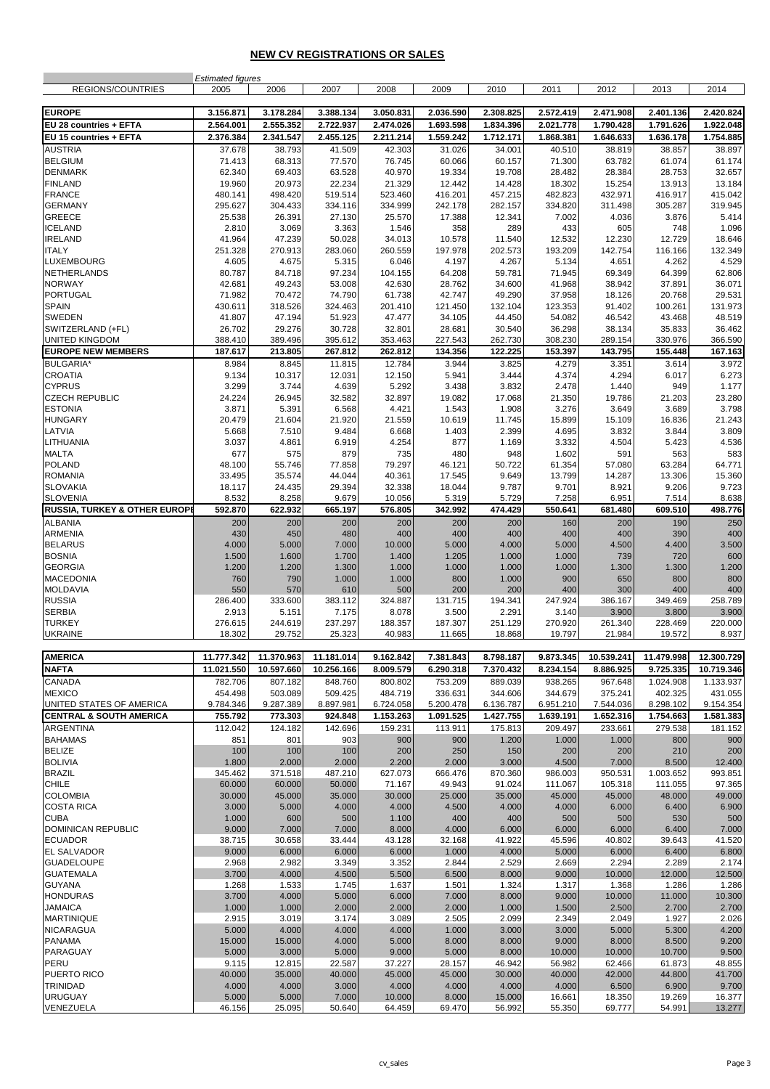#### **NEW CV REGISTRATIONS OR SALES**

|                                    | <b>Estimated figures</b> |            |            |           |           |           |           |            |            |            |
|------------------------------------|--------------------------|------------|------------|-----------|-----------|-----------|-----------|------------|------------|------------|
| REGIONS/COUNTRIES                  | 2005                     | 2006       | 2007       | 2008      | 2009      | 2010      | 2011      | 2012       | 2013       | 2014       |
|                                    |                          |            |            |           |           |           |           |            |            |            |
| <b>EUROPE</b>                      | 3.156.871                | 3.178.284  | 3.388.134  | 3.050.831 | 2.036.590 | 2.308.825 | 2.572.419 | 2.471.908  | 2.401.136  | 2.420.824  |
|                                    |                          | 2.555.352  |            |           |           | 1.834.396 |           |            |            |            |
| EU 28 countries + EFTA             | 2.564.001                |            | 2.722.937  | 2.474.026 | 1.693.598 |           | 2.021.778 | 1.790.428  | 1.791.626  | 1.922.048  |
| EU 15 countries + EFTA             | 2.376.384                | 2.341.547  | 2.455.125  | 2.211.214 | 1.559.242 | 1.712.171 | 1.868.381 | 1.646.633  | 1.636.178  | 1.754.885  |
| <b>AUSTRIA</b>                     | 37.678                   | 38.793     | 41.509     | 42.303    | 31.026    | 34.001    | 40.510    | 38.819     | 38.857     | 38.897     |
| <b>BELGIUM</b>                     | 71.413                   | 68.313     | 77.570     | 76.745    | 60.066    | 60.157    | 71.300    | 63.782     | 61.074     | 61.174     |
| <b>DENMARK</b>                     | 62.340                   | 69.403     | 63.528     | 40.970    | 19.334    | 19.708    | 28.482    | 28.384     | 28.753     | 32.657     |
| <b>FINLAND</b>                     | 19.960                   | 20.973     | 22.234     | 21.329    | 12.442    | 14.428    | 18.302    | 15.254     | 13.913     | 13.184     |
| <b>FRANCE</b>                      | 480.141                  | 498.420    | 519.514    | 523.460   | 416.201   | 457.215   | 482.823   | 432.971    | 416.917    | 415.042    |
| <b>GERMANY</b>                     | 295.627                  | 304.433    | 334.116    | 334.999   | 242.178   | 282.157   | 334.820   | 311.498    | 305.287    | 319.945    |
| GREECE                             |                          |            |            |           |           |           |           | 4.036      |            |            |
|                                    | 25.538                   | 26.391     | 27.130     | 25.570    | 17.388    | 12.341    | 7.002     |            | 3.876      | 5.414      |
| <b>ICELAND</b>                     | 2.810                    | 3.069      | 3.363      | 1.546     | 358       | 289       | 433       | 605        | 748        | 1.096      |
| <b>IRELAND</b>                     | 41.964                   | 47.239     | 50.028     | 34.013    | 10.578    | 11.540    | 12.532    | 12.230     | 12.729     | 18.646     |
| <b>ITALY</b>                       | 251.328                  | 270.913    | 283.060    | 260.559   | 197.978   | 202.573   | 193.209   | 142.754    | 116.166    | 132.349    |
| LUXEMBOURG                         | 4.605                    | 4.675      | 5.315      | 6.046     | 4.197     | 4.267     | 5.134     | 4.651      | 4.262      | 4.529      |
| NETHERLANDS                        | 80.787                   | 84.718     | 97.234     | 104.155   | 64.208    | 59.781    | 71.945    | 69.349     | 64.399     | 62.806     |
| <b>NORWAY</b>                      | 42.681                   | 49.243     | 53.008     | 42.630    | 28.762    | 34.600    | 41.968    | 38.942     | 37.891     | 36.071     |
| <b>PORTUGAL</b>                    | 71.982                   | 70.472     | 74.790     | 61.738    | 42.747    | 49.290    | 37.958    | 18.126     | 20.768     | 29.531     |
| <b>SPAIN</b>                       | 430.611                  | 318.526    | 324.463    | 201.410   | 121.450   | 132.104   | 123.353   | 91.402     | 100.261    | 131.973    |
| SWEDEN                             | 41.807                   | 47.194     | 51.923     | 47.477    | 34.105    | 44.450    | 54.082    | 46.542     | 43.468     | 48.519     |
| SWITZERLAND (+FL)                  | 26.702                   | 29.276     | 30.728     | 32.801    | 28.681    | 30.540    | 36.298    | 38.134     | 35.833     | 36.462     |
| <b>UNITED KINGDOM</b>              | 388.410                  | 389.496    | 395.612    | 353.463   | 227.543   | 262.730   | 308.230   | 289.154    | 330.976    | 366.590    |
|                                    |                          |            |            |           |           |           |           |            |            |            |
| <b>EUROPE NEW MEMBERS</b>          | 187.617                  | 213.805    | 267.812    | 262.812   | 134.356   | 122.225   | 153.397   | 143.795    | 155.448    | 167.163    |
| <b>BULGARIA*</b>                   | 8.984                    | 8.845      | 11.815     | 12.784    | 3.944     | 3.825     | 4.279     | 3.351      | 3.614      | 3.972      |
| <b>CROATIA</b>                     | 9.134                    | 10.317     | 12.031     | 12.150    | 5.941     | 3.444     | 4.374     | 4.294      | 6.017      | 6.273      |
| <b>CYPRUS</b>                      | 3.299                    | 3.744      | 4.639      | 5.292     | 3.438     | 3.832     | 2.478     | 1.440      | 949        | 1.177      |
| <b>CZECH REPUBLIC</b>              | 24.224                   | 26.945     | 32.582     | 32.897    | 19.082    | 17.068    | 21.350    | 19.786     | 21.203     | 23.280     |
| <b>ESTONIA</b>                     | 3.871                    | 5.391      | 6.568      | 4.421     | 1.543     | 1.908     | 3.276     | 3.649      | 3.689      | 3.798      |
| <b>HUNGARY</b>                     | 20.479                   | 21.604     | 21.920     | 21.559    | 10.619    | 11.745    | 15.899    | 15.109     | 16.836     | 21.243     |
| LATVIA                             | 5.668                    | 7.510      | 9.484      | 6.668     | 1.403     | 2.399     | 4.695     | 3.832      | 3.844      | 3.809      |
| LITHUANIA                          | 3.037                    | 4.861      | 6.919      | 4.254     | 877       | 1.169     | 3.332     | 4.504      | 5.423      | 4.536      |
| <b>MALTA</b>                       | 677                      | 575        | 879        | 735       | 480       | 948       | 1.602     | 591        | 563        | 583        |
| <b>POLAND</b>                      | 48.100                   | 55.746     | 77.858     | 79.297    | 46.121    | 50.722    | 61.354    | 57.080     | 63.284     | 64.771     |
|                                    |                          |            |            |           |           |           |           |            |            |            |
| <b>ROMANIA</b>                     | 33.495                   | 35.574     | 44.044     | 40.361    | 17.545    | 9.649     | 13.799    | 14.287     | 13.306     | 15.360     |
| <b>SLOVAKIA</b>                    | 18.117                   | 24.435     | 29.394     | 32.338    | 18.044    | 9.787     | 9.701     | 8.921      | 9.206      | 9.723      |
| <b>SLOVENIA</b>                    | 8.532                    | 8.258      | 9.679      | 10.056    | 5.319     | 5.729     | 7.258     | 6.951      | 7.514      | 8.638      |
| RUSSIA, TURKEY & OTHER EUROPI      | 592.870                  | 622.932    | 665.197    | 576.805   | 342.992   | 474.429   | 550.641   | 681.480    | 609.510    | 498.776    |
| <b>ALBANIA</b>                     | 200                      | 200        | 200        | 200       | 200       | 200       | 160       | 200        | 190        | 250        |
| <b>ARMENIA</b>                     | 430                      | 450        | 480        | 400       | 400       | 400       | 400       | 400        | 390        | 400        |
| <b>BELARUS</b>                     | 4.000                    | 5.000      | 7.000      | 10.000    | 5.000     | 4.000     | 5.000     | 4.500      | 4.400      | 3.500      |
| <b>BOSNIA</b>                      | 1.500                    | 1.600      | 1.700      | 1.400     | 1.205     | 1.000     | 1.000     | 739        | 720        | 600        |
| <b>GEORGIA</b>                     | 1.200                    | 1.200      | 1.300      | 1.000     | 1.000     | 1.000     | 1.000     | 1.300      | 1.300      | 1.200      |
| <b>MACEDONIA</b>                   | 760                      | 790        | 1.000      | 1.000     | 800       | 1.000     | 900       | 650        | 800        | 800        |
|                                    |                          |            |            |           |           |           |           |            |            |            |
| <b>MOLDAVIA</b>                    | 550                      | 570        | 610        | 500       | 200       | 200       | 400       | 300        | 400        | 400        |
| <b>RUSSIA</b>                      | 286.400                  | 333.600    | 383.112    | 324.887   | 131.715   | 194.341   | 247.924   | 386.167    | 349.469    | 258.789    |
| <b>SERBIA</b>                      | 2.913                    | 5.151      | 7.175      | 8.078     | 3.500     | 2.291     | 3.140     | 3.900      | 3.800      | 3.900      |
| <b>TURKEY</b>                      | 276.615                  | 244.619    | 237.297    | 188.357   | 187.307   | 251.129   | 270.920   | 261.340    | 228.469    | 220.000    |
| UKRAINE                            | 18.302                   | 29.752     | 25.323     | 40.983    | 11.665    | 18.868    | 19.797    | 21.984     | 19.572     | 8.937      |
|                                    |                          |            |            |           |           |           |           |            |            |            |
| <b>AMERICA</b>                     | 11.777.342               | 11.370.963 | 11.181.014 | 9.162.842 | 7.381.843 | 8.798.187 | 9.873.345 | 10.539.241 | 11.479.998 | 12.300.729 |
| <b>NAFTA</b>                       | 11.021.550               | 10.597.660 | 10.256.166 | 8.009.579 | 6.290.318 | 7.370.432 | 8.234.154 | 8.886.925  | 9.725.335  | 10.719.346 |
|                                    |                          |            |            |           |           |           |           |            |            |            |
| <b>CANADA</b>                      | 782.706                  | 807.182    | 848.760    | 800.802   | 753.209   | 889.039   | 938.265   | 967.648    | 1.024.908  | 1.133.937  |
| <b>MEXICO</b>                      | 454.498                  | 503.089    | 509.425    | 484.719   | 336.631   | 344.606   | 344.679   | 375.241    | 402.325    | 431.055    |
| UNITED STATES OF AMERICA           | 9.784.346                | 9.287.389  | 8.897.981  | 6.724.058 | 5.200.478 | 6.136.787 | 6.951.210 | 7.544.036  | 8.298.102  | 9.154.354  |
| <b>CENTRAL &amp; SOUTH AMERICA</b> | 755.792                  | 773.303    | 924.848    | 1.153.263 | 1.091.525 | 1.427.755 | 1.639.191 | 1.652.316  | 1.754.663  | 1.581.383  |
| <b>ARGENTINA</b>                   | 112.042                  | 124.182    | 142.696    | 159.231   | 113.911   | 175.813   | 209.497   | 233.661    | 279.538    | 181.152    |
| <b>BAHAMAS</b>                     | 851                      | 801        | 903        | 900       | 900       | 1.200     | 1.000     | 1.000      | 800        | 900        |
| <b>BELIZE</b>                      | 100                      | 100        | 100        | 200       | 250       | 150       | 200       | 200        | 210        | 200        |
| <b>BOLIVIA</b>                     | 1.800                    | 2.000      | 2.000      | 2.200     | 2.000     | 3.000     | 4.500     | 7.000      | 8.500      | 12.400     |
| <b>BRAZIL</b>                      | 345.462                  | 371.518    | 487.210    | 627.073   | 666.476   | 870.360   | 986.003   | 950.531    | 1.003.652  | 993.851    |
| <b>CHILE</b>                       | 60.000                   | 60.000     | 50.000     | 71.167    | 49.943    | 91.024    | 111.067   | 105.318    | 111.055    | 97.365     |
| <b>COLOMBIA</b>                    | 30.000                   | 45.000     | 35.000     | 30.000    | 25.000    | 35.000    | 45.000    | 45.000     | 48.000     | 49.000     |
| <b>COSTA RICA</b>                  | 3.000                    | 5.000      |            |           |           |           | 4.000     |            | 6.400      | 6.900      |
|                                    |                          |            | 4.000      | 4.000     | 4.500     | 4.000     |           | 6.000      |            |            |
| <b>CUBA</b>                        | 1.000                    | 600        | 500        | 1.100     | 400       | 400       | 500       | 500        | 530        | 500        |
| DOMINICAN REPUBLIC                 | 9.000                    | 7.000      | 7.000      | 8.000     | 4.000     | 6.000     | 6.000     | 6.000      | 6.400      | 7.000      |
| <b>ECUADOR</b>                     | 38.715                   | 30.658     | 33.444     | 43.128    | 32.168    | 41.922    | 45.596    | 40.802     | 39.643     | 41.520     |
| EL SALVADOR                        | 9.000                    | 6.000      | 6.000      | 6.000     | 1.000     | 4.000     | 5.000     | 6.000      | 6.400      | 6.800      |
| <b>GUADELOUPE</b>                  | 2.968                    | 2.982      | 3.349      | 3.352     | 2.844     | 2.529     | 2.669     | 2.294      | 2.289      | 2.174      |
| <b>GUATEMALA</b>                   | 3.700                    | 4.000      | 4.500      | 5.500     | 6.500     | 8.000     | 9.000     | 10.000     | 12.000     | 12.500     |
| <b>GUYANA</b>                      | 1.268                    | 1.533      | 1.745      | 1.637     | 1.501     | 1.324     | 1.317     | 1.368      | 1.286      | 1.286      |
| <b>HONDURAS</b>                    | 3.700                    | 4.000      | 5.000      | 6.000     | 7.000     | 8.000     | 9.000     | 10.000     | 11.000     | 10.300     |
| <b>JAMAICA</b>                     | 1.000                    | 1.000      | 2.000      | 2.000     | 2.000     | 1.000     | 1.500     | 2.500      | 2.700      | 2.700      |
| <b>MARTINIQUE</b>                  | 2.915                    | 3.019      | 3.174      | 3.089     | 2.505     | 2.099     | 2.349     | 2.049      | 1.927      | 2.026      |
| <b>NICARAGUA</b>                   | 5.000                    | 4.000      | 4.000      | 4.000     | 1.000     | 3.000     | 3.000     | 5.000      | 5.300      | 4.200      |
| <b>PANAMA</b>                      | 15.000                   | 15.000     | 4.000      | 5.000     | 8.000     | 8.000     | 9.000     | 8.000      | 8.500      | 9.200      |
|                                    |                          |            |            |           |           |           |           |            |            |            |
| PARAGUAY                           | 5.000                    | 3.000      | 5.000      | 9.000     | 5.000     | 8.000     | 10.000    | 10.000     | 10.700     | 9.500      |
| PERU                               | 9.115                    | 12.815     | 22.587     | 37.227    | 28.157    | 46.942    | 56.982    | 62.466     | 61.873     | 48.855     |
| PUERTO RICO                        | 40.000                   | 35.000     | 40.000     | 45.000    | 45.000    | 30.000    | 40.000    | 42.000     | 44.800     | 41.700     |
| <b>TRINIDAD</b>                    | 4.000                    | 4.000      | 3.000      | 4.000     | 4.000     | 4.000     | 4.000     | 6.500      | 6.900      | 9.700      |
| <b>URUGUAY</b>                     | 5.000                    | 5.000      | 7.000      | 10.000    | 8.000     | 15.000    | 16.661    | 18.350     | 19.269     | 16.377     |
| VENEZUELA                          | 46.156                   | 25.095     | 50.640     | 64.459    | 69.470    | 56.992    | 55.350    | 69.777     | 54.991     | 13.277     |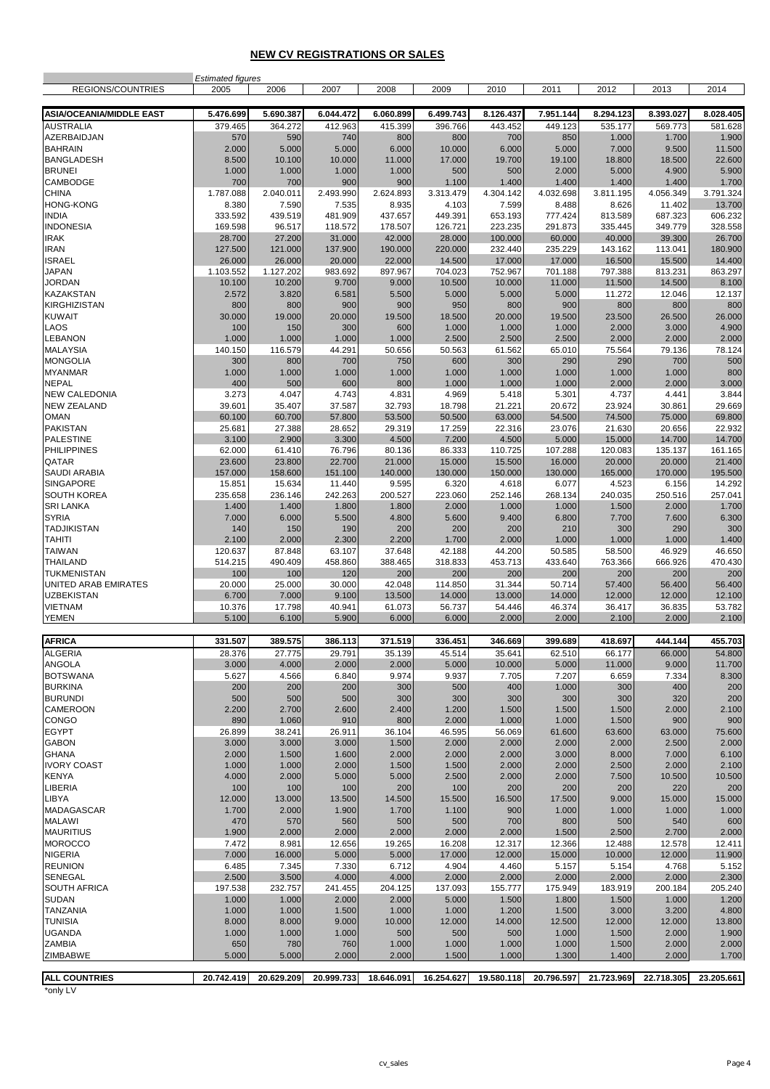#### **NEW CV REGISTRATIONS OR SALES**

|                                      | <b>Estimated figures</b> |                  |                  |                  |                  |                  |                  |                  |                   |                   |
|--------------------------------------|--------------------------|------------------|------------------|------------------|------------------|------------------|------------------|------------------|-------------------|-------------------|
| REGIONS/COUNTRIES                    | 2005                     | 2006             | 2007             | 2008             | 2009             | 2010             | 2011             | 2012             | 2013              | 2014              |
| <b>ASIA/OCEANIA/MIDDLE EAST</b>      | 5.476.699                | 5.690.387        | 6.044.472        | 6.060.899        | 6.499.743        | 8.126.437        | 7.951.144        | 8.294.123        | 8.393.027         | 8.028.405         |
| <b>AUSTRALIA</b>                     | 379.465                  | 364.272          | 412.963          | 415.399          | 396.766          | 443.452          | 449.123          | 535.177          | 569.773           | 581.628           |
| AZERBAIDJAN                          | 570                      | 590              | 740              | 800              | 800              | 700              | 850              | 1.000            | 1.700             | 1.900             |
| <b>BAHRAIN</b>                       | 2.000                    | 5.000            | 5.000            | 6.000            | 10.000           | 6.000            | 5.000            | 7.000            | 9.500             | 11.500            |
| <b>BANGLADESH</b>                    | 8.500                    | 10.100           | 10.000           | 11.000           | 17.000           | 19.700           | 19.100           | 18.800           | 18.500            | 22.600            |
| <b>BRUNEI</b>                        | 1.000                    | 1.000            | 1.000            | 1.000            | 500              | 500              | 2.000            | 5.000            | 4.900             | 5.900             |
| CAMBODGE                             | 700                      | 700              | 900              | 900              | 1.100            | 1.400            | 1.400            | 1.400            | 1.400             | 1.700             |
| <b>CHINA</b>                         | 1.787.088                | 2.040.011        | 2.493.990        | 2.624.893        | 3.313.479        | 4.304.142        | 4.032.698        | 3.811.195        | 4.056.349         | 3.791.324         |
| <b>HONG-KONG</b><br><b>INDIA</b>     | 8.380<br>333.592         | 7.590<br>439.519 | 7.535<br>481.909 | 8.935<br>437.657 | 4.103<br>449.391 | 7.599<br>653.193 | 8.488<br>777.424 | 8.626<br>813.589 | 11.402<br>687.323 | 13.700<br>606.232 |
| <b>INDONESIA</b>                     | 169.598                  | 96.517           | 118.572          | 178.507          | 126.721          | 223.235          | 291.873          | 335.445          | 349.779           | 328.558           |
| <b>IRAK</b>                          | 28.700                   | 27.200           | 31.000           | 42.000           | 28.000           | 100.000          | 60.000           | 40.000           | 39.300            | 26.700            |
| <b>IRAN</b>                          | 127.500                  | 121.000          | 137.900          | 190.000          | 220.000          | 232.440          | 235.229          | 143.162          | 113.041           | 180.900           |
| <b>ISRAEL</b>                        | 26.000                   | 26.000           | 20.000           | 22.000           | 14.500           | 17.000           | 17.000           | 16.500           | 15.500            | 14.400            |
| <b>JAPAN</b>                         | 1.103.552                | 1.127.202        | 983.692          | 897.967          | 704.023          | 752.967          | 701.188          | 797.388          | 813.231           | 863.297           |
| <b>JORDAN</b>                        | 10.100                   | 10.200           | 9.700            | 9.000            | 10.500           | 10.000           | 11.000           | 11.500           | 14.500            | 8.100             |
| <b>KAZAKSTAN</b>                     | 2.572                    | 3.820            | 6.581            | 5.500            | 5.000            | 5.000            | 5.000            | 11.272           | 12.046            | 12.137            |
| <b>KIRGHIZISTAN</b><br><b>KUWAIT</b> | 800<br>30.000            | 800<br>19.000    | 900<br>20.000    | 900<br>19.500    | 950<br>18.500    | 800<br>20.000    | 900<br>19.500    | 800<br>23.500    | 800<br>26.500     | 800<br>26.000     |
| LAOS                                 | 100                      | 150              | 300              | 600              | 1.000            | 1.000            | 1.000            | 2.000            | 3.000             | 4.900             |
| <b>LEBANON</b>                       | 1.000                    | 1.000            | 1.000            | 1.000            | 2.500            | 2.500            | 2.500            | 2.000            | 2.000             | 2.000             |
| <b>MALAYSIA</b>                      | 140.150                  | 116.579          | 44.291           | 50.656           | 50.563           | 61.562           | 65.010           | 75.564           | 79.136            | 78.124            |
| <b>MONGOLIA</b>                      | 300                      | 800              | 700              | 750              | 600              | 300              | 290              | 290              | 700               | 500               |
| <b>MYANMAR</b>                       | 1.000                    | 1.000            | 1.000            | 1.000            | 1.000            | 1.000            | 1.000            | 1.000            | 1.000             | 800               |
| <b>NEPAL</b>                         | 400                      | 500              | 600              | 800              | 1.000            | 1.000            | 1.000            | 2.000            | 2.000             | 3.000             |
| <b>NEW CALEDONIA</b>                 | 3.273                    | 4.047            | 4.743            | 4.831            | 4.969            | 5.418            | 5.301            | 4.737            | 4.441             | 3.844             |
| <b>NEW ZEALAND</b><br><b>OMAN</b>    | 39.601<br>60.100         | 35.407<br>60.700 | 37.587<br>57.800 | 32.793<br>53.500 | 18.798<br>50.500 | 21.221<br>63.000 | 20.672<br>54.500 | 23.924<br>74.500 | 30.861<br>75.000  | 29.669<br>69.800  |
| <b>PAKISTAN</b>                      | 25.681                   | 27.388           | 28.652           | 29.319           | 17.259           | 22.316           | 23.076           | 21.630           | 20.656            | 22.932            |
| <b>PALESTINE</b>                     | 3.100                    | 2.900            | 3.300            | 4.500            | 7.200            | 4.500            | 5.000            | 15.000           | 14.700            | 14.700            |
| <b>PHILIPPINES</b>                   | 62.000                   | 61.410           | 76.796           | 80.136           | 86.333           | 110.725          | 107.288          | 120.083          | 135.137           | 161.165           |
| QATAR                                | 23.600                   | 23.800           | 22.700           | 21.000           | 15.000           | 15.500           | 16.000           | 20.000           | 20.000            | 21.400            |
| <b>SAUDI ARABIA</b>                  | 157.000                  | 158.600          | 151.100          | 140.000          | 130.000          | 150.000          | 130.000          | 165.000          | 170.000           | 195.500           |
| <b>SINGAPORE</b>                     | 15.851                   | 15.634           | 11.440           | 9.595            | 6.320            | 4.618            | 6.077            | 4.523            | 6.156             | 14.292            |
| <b>SOUTH KOREA</b>                   | 235.658                  | 236.146          | 242.263          | 200.527          | 223.060          | 252.146          | 268.134          | 240.035          | 250.516           | 257.041           |
| <b>SRI LANKA</b>                     | 1.400                    | 1.400            | 1.800            | 1.800            | 2.000            | 1.000            | 1.000            | 1.500            | 2.000             | 1.700             |
| <b>SYRIA</b><br><b>TADJIKISTAN</b>   | 7.000<br>140             | 6.000<br>150     | 5.500<br>190     | 4.800<br>200     | 5.600<br>200     | 9.400<br>200     | 6.800<br>210     | 7.700<br>300     | 7.600<br>290      | 6.300<br>300      |
| <b>TAHITI</b>                        | 2.100                    | 2.000            | 2.300            | 2.200            | 1.700            | 2.000            | 1.000            | 1.000            | 1.000             | 1.400             |
| <b>TAIWAN</b>                        | 120.637                  | 87.848           | 63.107           | 37.648           | 42.188           | 44.200           | 50.585           | 58.500           | 46.929            | 46.650            |
| <b>THAILAND</b>                      | 514.215                  | 490.409          | 458.860          | 388.465          | 318.833          | 453.713          | 433.640          | 763.366          | 666.926           | 470.430           |
| <b>TUKMENISTAN</b>                   | 100                      | 100              | 120              | 200              | 200              | 200              | 200              | 200              | 200               | 200               |
| UNITED ARAB EMIRATES                 | 20.000                   | 25.000           | 30.000           | 42.048           | 114.850          | 31.344           | 50.714           | 57.400           | 56.400            | 56.400            |
| <b>UZBEKISTAN</b>                    | 6.700                    | 7.000            | 9.100            | 13.500           | 14.000           | 13.000           | 14.000           | 12.000           | 12.000            | 12.100            |
| <b>VIETNAM</b><br><b>YEMEN</b>       | 10.376<br>5.100          | 17.798<br>6.100  | 40.941<br>5.900  | 61.073<br>6.000  | 56.737<br>6.000  | 54.446<br>2.000  | 46.374<br>2.000  | 36.417<br>2.100  | 36.835<br>2.000   | 53.782<br>2.100   |
|                                      |                          |                  |                  |                  |                  |                  |                  |                  |                   |                   |
| <b>AFRICA</b>                        | 331.507                  | 389.575          | 386.113          | 371.519          | 336.451          | 346.669          | 399.689          | 418.697          | 444.144           | 455.703           |
| <b>ALGERIA</b>                       | 28.376                   | 27.775           | 29.791           | 35.139           | 45.514           | 35.641           | 62.510           | 66.177           | 66.000            | 54.800            |
| <b>ANGOLA</b>                        | 3.000                    | 4.000            | 2.000            | 2.000            | 5.000            | 10.000           | 5.000            | 11.000           | 9.000             | 11.700            |
| <b>BOTSWANA</b>                      | 5.627                    | 4.566            | 6.840            | 9.974            | 9.937            | 7.705            | 7.207            | 6.659            | 7.334             | 8.300             |
| <b>BURKINA</b>                       | 200                      | 200              | 200              | 300              | 500              | 400              | 1.000            | 300              | 400               | 200               |
| <b>BURUNDI</b>                       | 500                      | 500              | 500              | 300              | 300              | 300              | 300              | 300              | 320               | 200               |
| <b>CAMEROON</b><br><b>CONGO</b>      | 2.200                    | 2.700            | 2.600            | 2.400            | 1.200            | 1.500            | 1.500            | 1.500            | 2.000             | 2.100             |
| <b>EGYPT</b>                         | 890<br>26.899            | 1.060<br>38.241  | 910<br>26.911    | 800<br>36.104    | 2.000<br>46.595  | 1.000<br>56.069  | 1.000<br>61.600  | 1.500<br>63.600  | 900<br>63.000     | 900<br>75.600     |
| <b>GABON</b>                         | 3.000                    | 3.000            | 3.000            | 1.500            | 2.000            | 2.000            | 2.000            | 2.000            | 2.500             | 2.000             |
| <b>GHANA</b>                         | 2.000                    | 1.500            | 1.600            | 2.000            | 2.000            | 2.000            | 3.000            | 8.000            | 7.000             | 6.100             |
| <b>IVORY COAST</b>                   | 1.000                    | 1.000            | 2.000            | 1.500            | 1.500            | 2.000            | 2.000            | 2.500            | 2.000             | 2.100             |
| <b>KENYA</b>                         | 4.000                    | 2.000            | 5.000            | 5.000            | 2.500            | 2.000            | 2.000            | 7.500            | 10.500            | 10.500            |
| LIBERIA                              | 100                      | 100              | 100              | 200              | 100              | 200              | 200              | 200              | 220               | 200               |
| <b>LIBYA</b>                         | 12.000                   | 13.000           | 13.500           | 14.500           | 15.500           | 16.500           | 17.500           | 9.000            | 15.000            | 15.000            |
| <b>MADAGASCAR</b>                    | 1.700                    | 2.000            | 1.900            | 1.700            | 1.100            | 900              | 1.000            | 1.000            | 1.000             | 1.000             |
| <b>MALAWI</b>                        | 470                      | 570<br>2.000     | 560              | 500<br>2.000     | 500              | 700              | 800              | 500              | 540               | 600               |
| <b>MAURITIUS</b><br><b>MOROCCO</b>   | 1.900<br>7.472           | 8.981            | 2.000<br>12.656  | 19.265           | 2.000<br>16.208  | 2.000<br>12.317  | 1.500<br>12.366  | 2.500<br>12.488  | 2.700<br>12.578   | 2.000<br>12.411   |
| <b>NIGERIA</b>                       | 7.000                    | 16.000           | 5.000            | 5.000            | 17.000           | 12.000           | 15.000           | 10.000           | 12.000            | 11.900            |
| <b>REUNION</b>                       | 6.485                    | 7.345            | 7.330            | 6.712            | 4.904            | 4.460            | 5.157            | 5.154            | 4.768             | 5.152             |
| <b>SENEGAL</b>                       | 2.500                    | 3.500            | 4.000            | 4.000            | 2.000            | 2.000            | 2.000            | 2.000            | 2.000             | 2.300             |
| <b>SOUTH AFRICA</b>                  | 197.538                  | 232.757          | 241.455          | 204.125          | 137.093          | 155.777          | 175.949          | 183.919          | 200.184           | 205.240           |
| <b>SUDAN</b>                         | 1.000                    | 1.000            | 2.000            | 2.000            | 5.000            | 1.500            | 1.800            | 1.500            | 1.000             | 1.200             |
| <b>TANZANIA</b>                      | 1.000                    | 1.000            | 1.500            | 1.000            | 1.000            | 1.200            | 1.500            | 3.000            | 3.200             | 4.800             |
| <b>TUNISIA</b>                       | 8.000                    | 8.000            | 9.000            | 10.000           | 12.000           | 14.000           | 12.500           | 12.000           | 12.000            | 13.800            |
| <b>UGANDA</b><br><b>ZAMBIA</b>       | 1.000<br>650             | 1.000<br>780     | 1.000<br>760     | 500<br>1.000     | 500<br>1.000     | 500<br>1.000     | 1.000<br>1.000   | 1.500<br>1.500   | 2.000<br>2.000    | 1.900<br>2.000    |
| <b>ZIMBABWE</b>                      | 5.000                    | 5.000            | 2.000            | 2.000            | 1.500            | 1.000            | 1.300            | 1.400            | 2.000             | 1.700             |
|                                      |                          |                  |                  |                  |                  |                  |                  |                  |                   |                   |
| <b>ALL COUNTRIES</b>                 | 20.742.419               | 20.629.209       | 20.999.733       | 18.646.091       | 16.254.627       | 19.580.118       | 20.796.597       | 21.723.969       | 22.718.305        | 23.205.661        |

\*only LV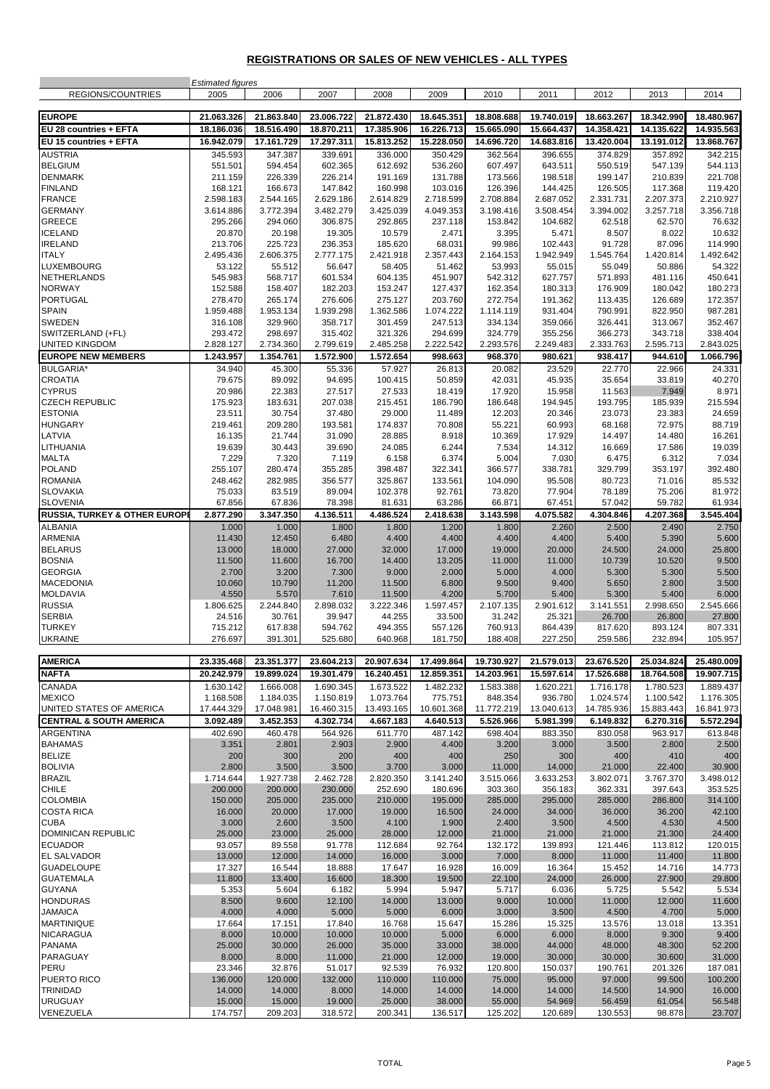## **REGISTRATIONS OR SALES OF NEW VEHICLES - ALL TYPES**

|                                               | <b>Estimated figures</b> |                          |                          |                          |                          |                          |                          |                          |                          |                          |
|-----------------------------------------------|--------------------------|--------------------------|--------------------------|--------------------------|--------------------------|--------------------------|--------------------------|--------------------------|--------------------------|--------------------------|
| REGIONS/COUNTRIES                             | 2005                     | 2006                     | 2007                     | 2008                     | 2009                     | 2010                     | 2011                     | 2012                     | 2013                     | 2014                     |
| <b>EUROPE</b>                                 | 21.063.326               | 21.863.840               | 23.006.722               | 21.872.430               | 18.645.351               | 18.808.688               | 19.740.019               | 18.663.267               | 18.342.990               | 18.480.967               |
| EU 28 countries + EFTA                        | 18.186.036               | 18.516.490               | 18.870.211               | 17.385.906               | 16.226.713               | 15.665.090               | 15.664.437               | 14.358.421               | 14.135.622               | 14.935.563               |
| EU 15 countries + EFTA                        | 16.942.079               | 17.161.729               | 17.297.311               | 15.813.252               | 15.228.050               | 14.696.720               | 14.683.816               | 13.420.004               | 13.191.012               | 13.868.767               |
| <b>AUSTRIA</b><br><b>BELGIUM</b>              | 345.593<br>551.501       | 347.387<br>594.454       | 339.691<br>602.365       | 336.000<br>612.692       | 350.429<br>536.260       | 362.564<br>607.497       | 396.655<br>643.511       | 374.829<br>550.519       | 357.892<br>547.139       | 342.215<br>544.113       |
| <b>DENMARK</b>                                | 211.159                  | 226.339                  | 226.214                  | 191.169                  | 131.788                  | 173.566                  | 198.518                  | 199.147                  | 210.839                  | 221.708                  |
| <b>FINLAND</b>                                | 168.121                  | 166.673                  | 147.842                  | 160.998                  | 103.016                  | 126.396                  | 144.425                  | 126.505                  | 117.368                  | 119.420                  |
| <b>FRANCE</b>                                 | 2.598.183                | 2.544.165                | 2.629.186                | 2.614.829                | 2.718.599                | 2.708.884                | 2.687.052                | 2.331.731                | 2.207.373                | 2.210.927                |
| <b>GERMANY</b>                                | 3.614.886                | 3.772.394                | 3.482.279                | 3.425.039                | 4.049.353                | 3.198.416                | 3.508.454                | 3.394.002                | 3.257.718                | 3.356.718                |
| <b>GREECE</b><br><b>ICELAND</b>               | 295.266<br>20.870        | 294.060<br>20.198        | 306.875<br>19.305        | 292.865<br>10.579        | 237.118<br>2.471         | 153.842<br>3.395         | 104.682<br>5.471         | 62.518<br>8.507          | 62.570<br>8.022          | 76.632<br>10.632         |
| <b>IRELAND</b>                                | 213.706                  | 225.723                  | 236.353                  | 185.620                  | 68.031                   | 99.986                   | 102.443                  | 91.728                   | 87.096                   | 114.990                  |
| <b>ITALY</b>                                  | 2.495.436                | 2.606.375                | 2.777.175                | 2.421.918                | 2.357.443                | 2.164.153                | 1.942.949                | 1.545.764                | 1.420.814                | 1.492.642                |
| <b>LUXEMBOURG</b>                             | 53.122                   | 55.512                   | 56.647                   | 58.405                   | 51.462                   | 53.993                   | 55.015                   | 55.049                   | 50.886                   | 54.322                   |
| <b>NETHERLANDS</b>                            | 545.983                  | 568.717                  | 601.534                  | 604.135                  | 451.907                  | 542.312                  | 627.757                  | 571.893                  | 481.116                  | 450.641                  |
| <b>NORWAY</b><br><b>PORTUGAL</b>              | 152.588<br>278.470       | 158.407<br>265.174       | 182.203<br>276.606       | 153.247<br>275.127       | 127.437<br>203.760       | 162.354<br>272.754       | 180.313<br>191.362       | 176.909<br>113.435       | 180.042<br>126.689       | 180.273<br>172.357       |
| <b>SPAIN</b>                                  | 1.959.488                | 1.953.134                | 1.939.298                | 1.362.586                | 1.074.222                | 1.114.119                | 931.404                  | 790.991                  | 822.950                  | 987.281                  |
| SWEDEN                                        | 316.108                  | 329.960                  | 358.717                  | 301.459                  | 247.513                  | 334.134                  | 359.066                  | 326.441                  | 313.067                  | 352.467                  |
| SWITZERLAND (+FL)                             | 293.472                  | 298.697                  | 315.402                  | 321.326                  | 294.699                  | 324.779                  | 355.256                  | 366.273                  | 343.718                  | 338.404                  |
| <b>UNITED KINGDOM</b>                         | 2.828.127                | 2.734.360                | 2.799.619                | 2.485.258                | 2.222.542                | 2.293.576                | 2.249.483                | 2.333.763                | 2.595.713                | 2.843.025                |
| <b>EUROPE NEW MEMBERS</b><br><b>BULGARIA*</b> | 1.243.957<br>34.940      | 1.354.761<br>45.300      | 1.572.900<br>55.336      | 1.572.654<br>57.927      | 998.663<br>26.813        | 968.370<br>20.082        | 980.621<br>23.529        | 938.417<br>22.770        | 944.610<br>22.966        | 1.066.796<br>24.331      |
| <b>CROATIA</b>                                | 79.675                   | 89.092                   | 94.695                   | 100.415                  | 50.859                   | 42.031                   | 45.935                   | 35.654                   | 33.819                   | 40.270                   |
| <b>CYPRUS</b>                                 | 20.986                   | 22.383                   | 27.517                   | 27.533                   | 18.419                   | 17.920                   | 15.958                   | 11.563                   | 7.949                    | 8.971                    |
| <b>CZECH REPUBLIC</b>                         | 175.923                  | 183.631                  | 207.038                  | 215.451                  | 186.790                  | 186.648                  | 194.945                  | 193.795                  | 185.939                  | 215.594                  |
| <b>ESTONIA</b>                                | 23.511                   | 30.754                   | 37.480                   | 29.000                   | 11.489                   | 12.203                   | 20.346                   | 23.073                   | 23.383                   | 24.659                   |
| <b>HUNGARY</b><br>LATVIA                      | 219.461<br>16.135        | 209.280<br>21.744        | 193.581<br>31.090        | 174.837<br>28.885        | 70.808<br>8.918          | 55.221<br>10.369         | 60.993<br>17.929         | 68.168<br>14.497         | 72.975<br>14.480         | 88.719<br>16.261         |
| LITHUANIA                                     | 19.639                   | 30.443                   | 39.690                   | 24.085                   | 6.244                    | 7.534                    | 14.312                   | 16.669                   | 17.586                   | 19.039                   |
| <b>MALTA</b>                                  | 7.229                    | 7.320                    | 7.119                    | 6.158                    | 6.374                    | 5.004                    | 7.030                    | 6.475                    | 6.312                    | 7.034                    |
| <b>POLAND</b>                                 | 255.107                  | 280.474                  | 355.285                  | 398.487                  | 322.341                  | 366.577                  | 338.781                  | 329.799                  | 353.197                  | 392.480                  |
| <b>ROMANIA</b>                                | 248.462                  | 282.985                  | 356.577                  | 325.867                  | 133.561                  | 104.090                  | 95.508                   | 80.723                   | 71.016                   | 85.532                   |
| <b>SLOVAKIA</b><br><b>SLOVENIA</b>            | 75.033<br>67.856         | 83.519<br>67.836         | 89.094<br>78.398         | 102.378<br>81.631        | 92.761<br>63.286         | 73.820<br>66.871         | 77.904<br>67.451         | 78.189<br>57.042         | 75.206<br>59.782         | 81.972<br>61.934         |
| RUSSIA, TURKEY & OTHER EUROP                  | 2.877.290                | 3.347.350                | 4.136.511                | 4.486.524                | 2.418.638                | 3.143.598                | 4.075.582                | 4.304.846                | 4.207.368                | 3.545.404                |
| <b>ALBANIA</b>                                | 1.000                    | 1.000                    | 1.800                    | 1.800                    | 1.200                    | 1.800                    | 2.260                    | 2.500                    | 2.490                    | 2.750                    |
| ARMENIA                                       | 11.430                   | 12.450                   | 6.480                    | 4.400                    | 4.400                    | 4.400                    | 4.400                    | 5.400                    | 5.390                    | 5.600                    |
| <b>BELARUS</b><br><b>BOSNIA</b>               | 13.000<br>11.500         | 18.000<br>11.600         | 27.000<br>16.700         | 32.000<br>14.400         | 17.000<br>13.205         | 19.000<br>11.000         | 20.000<br>11.000         | 24.500<br>10.739         | 24.000<br>10.520         | 25.800<br>9.500          |
| <b>GEORGIA</b>                                | 2.700                    | 3.200                    | 7.300                    | 9.000                    | 2.000                    | 5.000                    | 4.000                    | 5.300                    | 5.300                    | 5.500                    |
| <b>MACEDONIA</b>                              | 10.060                   | 10.790                   | 11.200                   | 11.500                   | 6.800                    | 9.500                    | 9.400                    | 5.650                    | 2.800                    | 3.500                    |
| <b>MOLDAVIA</b>                               | 4.550                    | 5.570                    | 7.610                    | 11.500                   | 4.200                    | 5.700                    | 5.400                    | 5.300                    | 5.400                    | 6.000                    |
| <b>RUSSIA</b><br><b>SERBIA</b>                | 1.806.625<br>24.516      | 2.244.840<br>30.761      | 2.898.032<br>39.947      | 3.222.346<br>44.255      | 1.597.457<br>33.500      | 2.107.135<br>31.242      | 2.901.612<br>25.321      | 3.141.551<br>26.700      | 2.998.650<br>26.800      | 2.545.666<br>27.800      |
| <b>TURKEY</b>                                 | 715.212                  | 617.838                  | 594.762                  | 494.355                  | 557.126                  | 760.913                  | 864.439                  | 817.620                  | 893.124                  | 807.331                  |
| <b>UKRAINE</b>                                | 276.697                  | 391.301                  | 525.680                  | 640.968                  | 181.750                  | 188.408                  | 227.250                  | 259.586                  | 232.894                  | 105.957                  |
| AMERICA                                       |                          |                          |                          |                          |                          |                          |                          |                          |                          |                          |
| <b>NAFTA</b>                                  | 23.335.468<br>20.242.979 | 23.351.377<br>19.899.024 | 23.604.213<br>19.301.479 | 20.907.634<br>16.240.451 | 17.499.864<br>12.859.351 | 19.730.927<br>14.203.961 | 21.579.013<br>15.597.614 | 23.676.520<br>17.526.688 | 25.034.824<br>18.764.508 | 25.480.009<br>19.907.715 |
| CANADA                                        | 1.630.142                | 1.666.008                | 1.690.345                | 1.673.522                | 1.482.232                | 1.583.388                | 1.620.221                | 1.716.178                | 1.780.523                | 1.889.437                |
| <b>MEXICO</b>                                 | 1.168.508                | 1.184.035                | 1.150.819                | 1.073.764                | 775.751                  | 848.354                  | 936.780                  | 1.024.574                | 1.100.542                | 1.176.305                |
| UNITED STATES OF AMERICA                      | 17.444.329               | 17.048.981               | 16.460.315               | 13.493.165               | 10.601.368               | 11.772.219               | 13.040.613               | 14.785.936               | 15.883.443               | 16.841.973               |
| <b>CENTRAL &amp; SOUTH AMERICA</b>            | 3.092.489                | 3.452.353                | 4.302.734                | 4.667.183                | 4.640.513                | 5.526.966                | 5.981.399                | 6.149.832                | 6.270.316                | 5.572.294                |
| <b>ARGENTINA</b><br><b>BAHAMAS</b>            | 402.690<br>3.351         | 460.478<br>2.801         | 564.926<br>2.903         | 611.770<br>2.900         | 487.142<br>4.400         | 698.404<br>3.200         | 883.350<br>3.000         | 830.058<br>3.500         | 963.917<br>2.800         | 613.848<br>2.500         |
| <b>BELIZE</b>                                 | 200                      | 300                      | 200                      | 400                      | 400                      | 250                      | 300                      | 400                      | 410                      | 400                      |
| <b>BOLIVIA</b>                                | 2.800                    | 3.500                    | 3.500                    | 3.700                    | 3.000                    | 11.000                   | 14.000                   | 21.000                   | 22.400                   | 30.900                   |
| <b>BRAZIL</b>                                 | 1.714.644                | 1.927.738                | 2.462.728                | 2.820.350                | 3.141.240                | 3.515.066                | 3.633.253                | 3.802.071                | 3.767.370                | 3.498.012                |
| <b>CHILE</b><br><b>COLOMBIA</b>               | 200.000<br>150.000       | 200.000<br>205.000       | 230.000<br>235.000       | 252.690<br>210.000       | 180.696<br>195.000       | 303.360<br>285.000       | 356.183<br>295.000       | 362.331<br>285.000       | 397.643<br>286.800       | 353.525<br>314.100       |
| <b>COSTA RICA</b>                             | 16.000                   | 20.000                   | 17.000                   | 19.000                   | 16.500                   | 24.000                   | 34.000                   | 36.000                   | 36.200                   | 42.100                   |
| <b>CUBA</b>                                   | 3.000                    | 2.600                    | 3.500                    | 4.100                    | 1.900                    | 2.400                    | 3.500                    | 4.500                    | 4.530                    | 4.500                    |
| <b>DOMINICAN REPUBLIC</b>                     | 25.000                   | 23.000                   | 25.000                   | 28.000                   | 12.000                   | 21.000                   | 21.000                   | 21.000                   | 21.300                   | 24.400                   |
| <b>ECUADOR</b><br><b>EL SALVADOR</b>          | 93.057<br>13.000         | 89.558<br>12.000         | 91.778<br>14.000         | 112.684<br>16.000        | 92.764<br>3.000          | 132.172<br>7.000         | 139.893<br>8.000         | 121.446<br>11.000        | 113.812<br>11.400        | 120.015<br>11.800        |
| <b>GUADELOUPE</b>                             | 17.327                   | 16.544                   | 18.888                   | 17.647                   | 16.928                   | 16.009                   | 16.364                   | 15.452                   | 14.716                   | 14.773                   |
| <b>GUATEMALA</b>                              | 11.800                   | 13.400                   | 16.600                   | 18.300                   | 19.500                   | 22.100                   | 24.000                   | 26.000                   | 27.900                   | 29.800                   |
| <b>GUYANA</b>                                 | 5.353                    | 5.604                    | 6.182                    | 5.994                    | 5.947                    | 5.717                    | 6.036                    | 5.725                    | 5.542                    | 5.534                    |
| <b>HONDURAS</b>                               | 8.500                    | 9.600                    | 12.100                   | 14.000                   | 13.000                   | 9.000                    | 10.000                   | 11.000                   | 12.000                   | 11.600                   |
| <b>JAMAICA</b><br><b>MARTINIQUE</b>           | 4.000<br>17.664          | 4.000<br>17.151          | 5.000<br>17.840          | 5.000<br>16.768          | 6.000<br>15.647          | 3.000<br>15.286          | 3.500<br>15.325          | 4.500<br>13.576          | 4.700<br>13.018          | 5.000<br>13.351          |
| <b>NICARAGUA</b>                              | 8.000                    | 10.000                   | 10.000                   | 10.000                   | 5.000                    | 6.000                    | 6.000                    | 8.000                    | 9.300                    | 9.400                    |
| <b>PANAMA</b>                                 | 25.000                   | 30.000                   | 26.000                   | 35.000                   | 33.000                   | 38.000                   | 44.000                   | 48.000                   | 48.300                   | 52.200                   |
| PARAGUAY                                      | 8.000                    | 8.000                    | 11.000                   | 21.000                   | 12.000                   | 19.000                   | 30.000                   | 30.000                   | 30.600                   | 31.000                   |
| PERU<br>PUERTO RICO                           | 23.346<br>136.000        | 32.876<br>120.000        | 51.017<br>132.000        | 92.539<br>110.000        | 76.932<br>110.000        | 120.800<br>75.000        | 150.037<br>95.000        | 190.761<br>97.000        | 201.326<br>99.500        | 187.081<br>100.200       |
| TRINIDAD                                      | 14.000                   | 14.000                   | 8.000                    | 14.000                   | 14.000                   | 14.000                   | 14.000                   | 14.500                   | 14.900                   | 16.000                   |
| <b>URUGUAY</b>                                | 15.000                   | 15.000                   | 19.000                   | 25.000                   | 38.000                   | 55.000                   | 54.969                   | 56.459                   | 61.054                   | 56.548                   |
| VENEZUELA                                     | 174.757                  | 209.203                  | 318.572                  | 200.341                  | 136.517                  | 125.202                  | 120.689                  | 130.553                  | 98.878                   | 23.707                   |